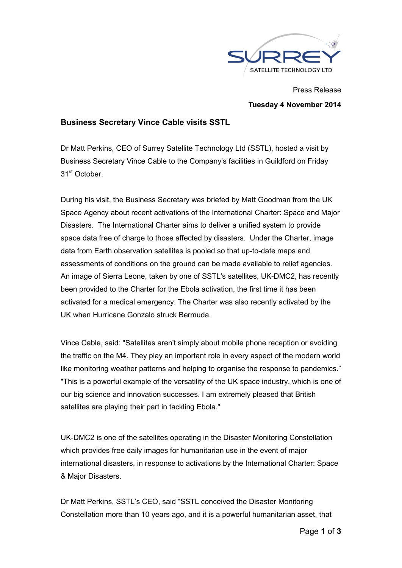

## Press Release Tuesday 4 November 2014

## Business Secretary Vince Cable visits SSTL

Dr Matt Perkins, CEO of Surrey Satellite Technology Ltd (SSTL), hosted a visit by Business Secretary Vince Cable to the Company's facilities in Guildford on Friday 31st October.

During his visit, the Business Secretary was briefed by Matt Goodman from the UK Space Agency about recent activations of the International Charter: Space and Major Disasters. The International Charter aims to deliver a unified system to provide space data free of charge to those affected by disasters. Under the Charter, image data from Earth observation satellites is pooled so that up-to-date maps and assessments of conditions on the ground can be made available to relief agencies. An image of Sierra Leone, taken by one of SSTL's satellites, UK-DMC2, has recently been provided to the Charter for the Ebola activation, the first time it has been activated for a medical emergency. The Charter was also recently activated by the UK when Hurricane Gonzalo struck Bermuda.

Vince Cable, said: "Satellites aren't simply about mobile phone reception or avoiding the traffic on the M4. They play an important role in every aspect of the modern world like monitoring weather patterns and helping to organise the response to pandemics." "This is a powerful example of the versatility of the UK space industry, which is one of our big science and innovation successes. I am extremely pleased that British satellites are playing their part in tackling Ebola."

UK-DMC2 is one of the satellites operating in the Disaster Monitoring Constellation which provides free daily images for humanitarian use in the event of major international disasters, in response to activations by the International Charter: Space & Major Disasters.

Dr Matt Perkins, SSTL's CEO, said "SSTL conceived the Disaster Monitoring Constellation more than 10 years ago, and it is a powerful humanitarian asset, that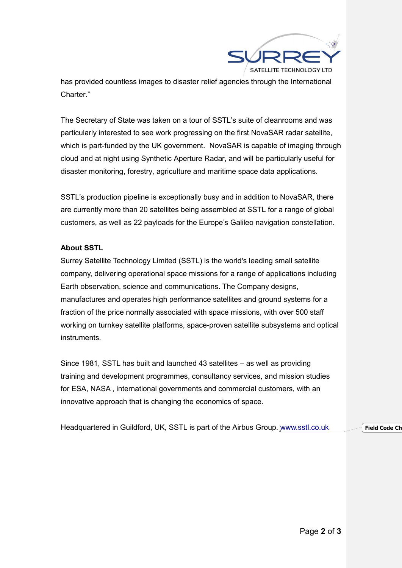

has provided countless images to disaster relief agencies through the International Charter."

The Secretary of State was taken on a tour of SSTL's suite of cleanrooms and was particularly interested to see work progressing on the first NovaSAR radar satellite, which is part-funded by the UK government. NovaSAR is capable of imaging through cloud and at night using Synthetic Aperture Radar, and will be particularly useful for disaster monitoring, forestry, agriculture and maritime space data applications.

SSTL's production pipeline is exceptionally busy and in addition to NovaSAR, there are currently more than 20 satellites being assembled at SSTL for a range of global customers, as well as 22 payloads for the Europe's Galileo navigation constellation.

## About SSTL

Surrey Satellite Technology Limited (SSTL) is the world's leading small satellite company, delivering operational space missions for a range of applications including Earth observation, science and communications. The Company designs, manufactures and operates high performance satellites and ground systems for a fraction of the price normally associated with space missions, with over 500 staff working on turnkey satellite platforms, space-proven satellite subsystems and optical instruments.

Since 1981, SSTL has built and launched 43 satellites – as well as providing training and development programmes, consultancy services, and mission studies for ESA, NASA , international governments and commercial customers, with an innovative approach that is changing the economics of space.

Headquartered in Guildford, UK, SSTL is part of the Airbus Group. www.sstl.co.uk Field Code Ch